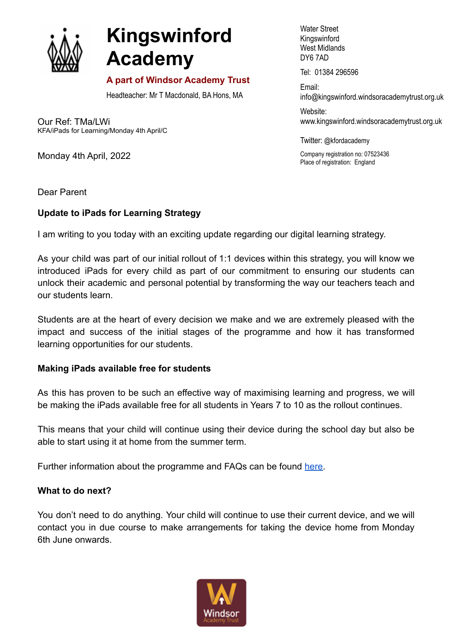

# **Kingswinford Academy**

## **A part of Windsor Academy Trust**

Headteacher: Mr T Macdonald, BA Hons, MA

Our Ref: TMa/LWi KFA/iPads for Learning/Monday 4th April/C

Monday 4th April, 2022

Water Street Kingswinford West Midlands DY6 7AD

Tel: 01384 296596

Email: info@kingswinford[.windsoracademytrust.org.uk](http://www.windsoracademytrust.org.uk)

Website: www.kingswinford.windsoracademytrust.org.uk

Twitter: @kfordacademy

Company registration no: 07523436 Place of registration: England

Dear Parent

### **Update to iPads for Learning Strategy**

I am writing to you today with an exciting update regarding our digital learning strategy.

As your child was part of our initial rollout of 1:1 devices within this strategy, you will know we introduced iPads for every child as part of our commitment to ensuring our students can unlock their academic and personal potential by transforming the way our teachers teach and our students learn.

Students are at the heart of every decision we make and we are extremely pleased with the impact and success of the initial stages of the programme and how it has transformed learning opportunities for our students.

### **Making iPads available free for students**

As this has proven to be such an effective way of maximising learning and progress, we will be making the iPads available free for all students in Years 7 to 10 as the rollout continues.

This means that your child will continue using their device during the school day but also be able to start using it at home from the summer term.

Further information about the programme and FAQs can be found [here.](https://www.kingswinfordacademy.org.uk/1-1-devices-faqs?stage=Stage)

### **What to do next?**

You don't need to do anything. Your child will continue to use their current device, and we will contact you in due course to make arrangements for taking the device home from Monday 6th June onwards.